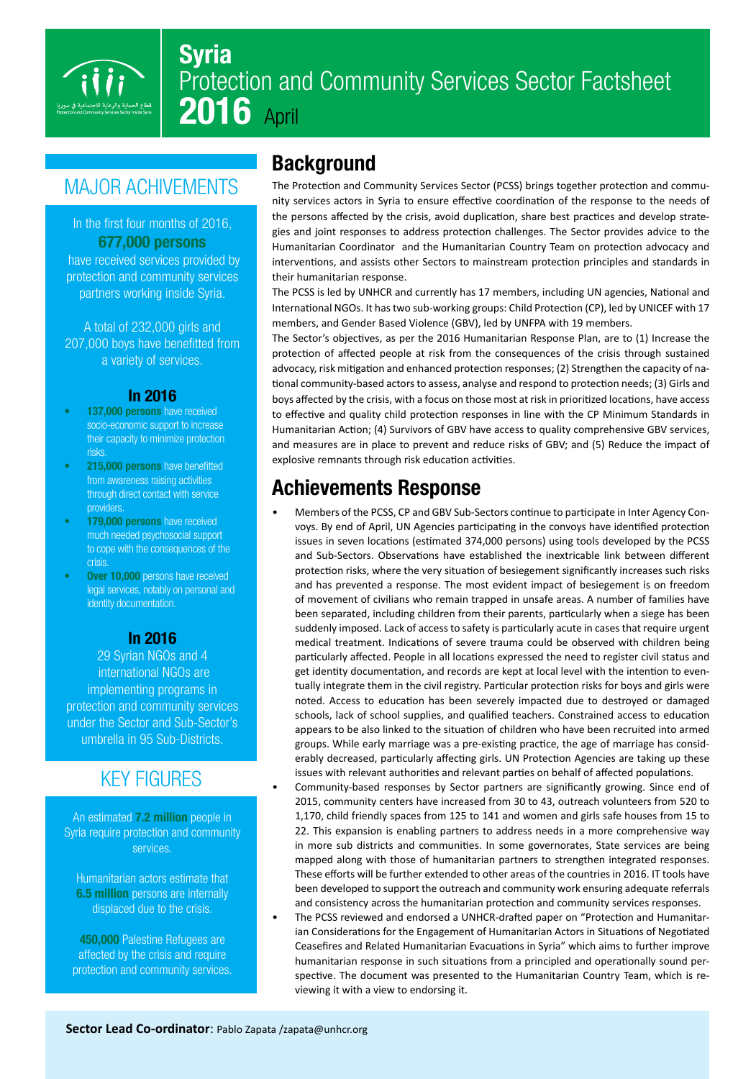

# Syria Protection and Community Services Sector Factsheet **2016** April

# **MAJOR ACHIVEMENTS**

#### In the first four months of 2016. **677,000 persons**

have received services provided by protection and community services partners working inside Syria.

A total of  $232,000$  girls and 207,000 boys have benefitted from a variety of services.

#### 2016 In

- 137,000 persons have received socio-economic support to increase their capacity to minimize protection .risks
- 215,000 persons have benefitted from awareness raising activities through direct contact with service providers.
- 179,000 persons have received much needed psychosocial support to cope with the consequences of the .crisis
- Over 10,000 persons have received legal services, notably on personal and identity documentation.

#### 2016 In

29 Syrian NGOs and 4 international NGOs are implementing programs in protection and community services under the Sector and Sub-Sector's umbrella in 95 Sub-Districts.

#### **KEY FIGURES**

An estimated **7.2 million** people in Syria require protection and community services.

Humanitarian actors estimate that 6.5 million persons are internally displaced due to the crisis.

450,000 Palestine Refugees are affected by the crisis and require protection and community services.

#### **Background**

nity services actors in Syria to ensure effective coordination of the response to the needs of The Protection and Community Services Sector (PCSS) brings together protection and commugies and joint responses to address protection challenges. The Sector provides advice to the the persons affected by the crisis, avoid duplication, share best practices and develop strate-Humanitarian Coordinator and the Humanitarian Country Team on protection advocacy and interventions, and assists other Sectors to mainstream protection principles and standards in their humanitarian response.

The PCSS is led by UNHCR and currently has 17 members, including UN agencies, National and International NGOs. It has two sub-working groups: Child Protection (CP), led by UNICEF with 17 members, and Gender Based Violence (GBV), led by UNFPA with 19 members.

The Sector's objectives, as per the 2016 Humanitarian Response Plan, are to (1) Increase the protection of affected people at risk from the consequences of the crisis through sustained advocacy, risk mitigation and enhanced protection responses; (2) Strengthen the capacity of na-<br>tional community-based actors to assess, analyse and respond to protection needs; (3) Girls and boys affected by the crisis, with a focus on those most at risk in prioritized locations, have access to effective and quality child protection responses in line with the CP Minimum Standards in Humanitarian Action; (4) Survivors of GBV have access to quality comprehensive GBV services, and measures are in place to prevent and reduce risks of GBV; and (5) Reduce the impact of explosive remnants through risk education activities.

#### Achievements Response

- voys. By end of April, UN Agencies participating in the convoys have identified protection Members of the PCSS, CP and GBV Sub-Sectors continue to participate in Inter Agency Conissues in seven locations (estimated 374,000 persons) using tools developed by the PCSS and Sub-Sectors. Observations have established the inextricable link between different protection risks, where the very situation of besiegement significantly increases such risks and has prevented a response. The most evident impact of besiegement is on freedom of movement of civilians who remain trapped in unsafe areas. A number of families have been separated, including children from their parents, particularly when a siege has been suddenly imposed. Lack of access to safety is particularly acute in cases that require urgent medical treatment. Indications of severe trauma could be observed with children being particularly affected. People in all locations expressed the need to register civil status and tually integrate them in the civil registry. Particular protection risks for boys and girls were get identity documentation, and records are kept at local level with the intention to evennoted. Access to education has been severely impacted due to destroyed or damaged schools, lack of school supplies, and qualified teachers. Constrained access to education appears to be also linked to the situation of children who have been recruited into armed erably decreased, particularly affecting girls. UN Protection Agencies are taking up these groups. While early marriage was a pre-existing practice, the age of marriage has considissues with relevant authorities and relevant parties on behalf of affected populations.
- Community-based responses by Sector partners are significantly growing. Since end of 2015, community centers have increased from 30 to 43, outreach volunteers from 520 to 1,170, child friendly spaces from 125 to 141 and women and girls safe houses from 15 to 22. This expansion is enabling partners to address needs in a more comprehensive way in more sub districts and communities. In some governorates, State services are being mapped along with those of humanitarian partners to strengthen integrated responses. These efforts will be further extended to other areas of the countries in 2016. IT tools have been developed to support the outreach and community work ensuring adequate referrals and consistency across the humanitarian protection and community services responses.
- ian Considerations for the Engagement of Humanitarian Actors in Situations of Negotiated The PCSS reviewed and endorsed a UNHCR-drafted paper on "Protection and Humanitar-Ceasefires and Related Humanitarian Evacuations in Syria" which aims to further improve spective. The document was presented to the Humanitarian Country Team, which is re-<br>viewing it with a view to endorsing it. humanitarian response in such situations from a principled and operationally sound per-<br>spective. The document was presented to the Humanitarian Country Team, which is rehumanitarian response in such situations from a principled and operationally sound per-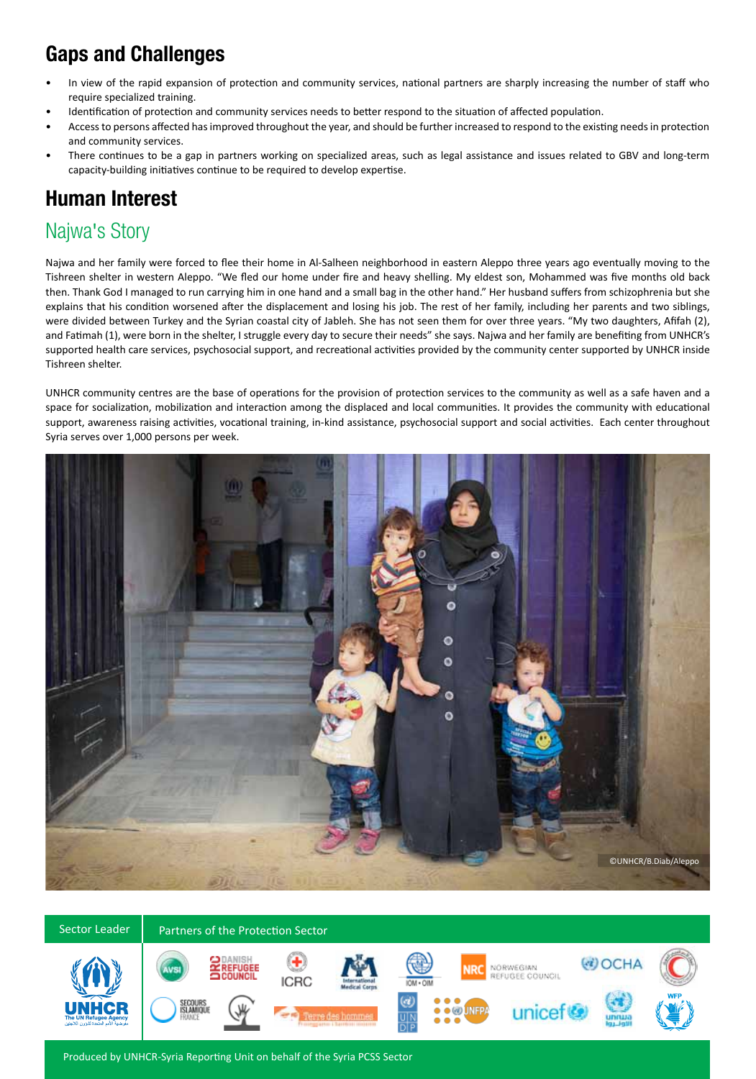# Gaps and Challenges

- In view of the rapid expansion of protection and community services, national partners are sharply increasing the number of staff who require specialized training.
- . Identification of protection and community services needs to better respond to the situation of affected population.
- Access to persons affected has improved throughout the year, and should be further increased to respond to the existing needs in protection and community services.
- There continues to be a gap in partners working on specialized areas, such as legal assistance and issues related to GBV and long-term capacity-building initiatives continue to be required to develop expertise.

### **Human Interest**

### Najwa's Story

Najwa and her family were forced to flee their home in Al-Salheen neighborhood in eastern Aleppo three years ago eventually moving to the Tishreen shelter in western Aleppo. "We fled our home under fire and heavy shelling. My eldest son, Mohammed was five months old back then. Thank God I managed to run carrying him in one hand and a small bag in the other hand." Her husband suffers from schizophrenia but she explains that his condition worsened after the displacement and losing his job. The rest of her family, including her parents and two siblings, were divided between Turkey and the Syrian coastal city of Jableh. She has not seen them for over three years. "My two daughters, Afifah (2), and Fatimah (1), were born in the shelter, I struggle every day to secure their needs" she says. Najwa and her family are benefiting from UNHCR's supported health care services, psychosocial support, and recreational activities provided by the community center supported by UNHCR inside Tishreen shelter.

UNHCR community centres are the base of operations for the provision of protection services to the community as well as a safe haven and a space for socialization, mobilization and interaction among the displaced and local communities. It provides the community with educational support, awareness raising activities, vocational training, in-kind assistance, psychosocial support and social activities. Each center throughout Syria serves over 1,000 persons per week.